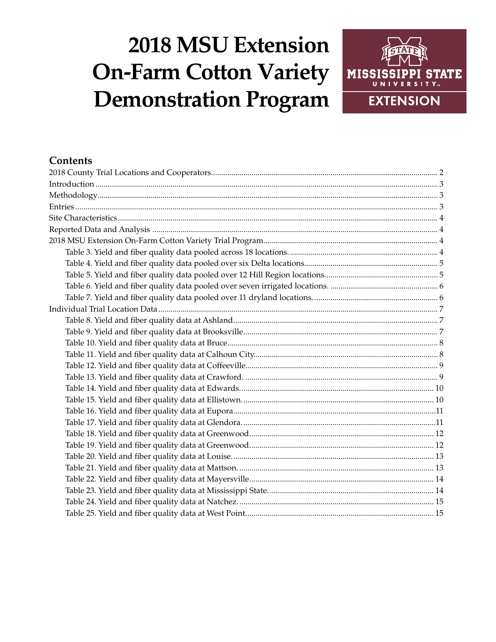# **2018 MSU Extension On-Farm Cotton Variety Demonstration Program**



# **Contents**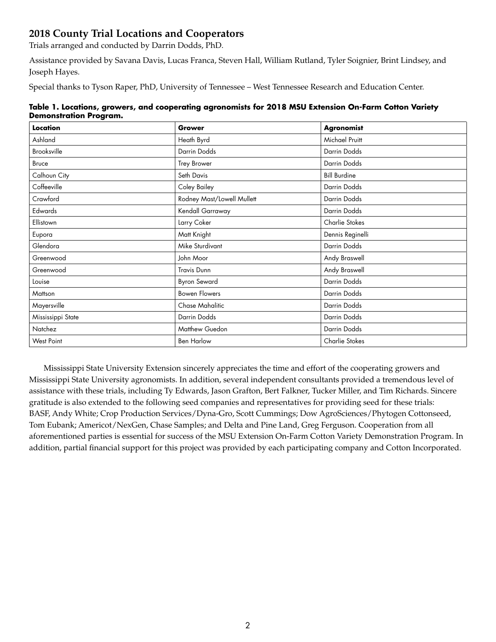# <span id="page-1-0"></span>**2018 County Trial Locations and Cooperators**

Trials arranged and conducted by Darrin Dodds, PhD.

Assistance provided by Savana Davis, Lucas Franca, Steven Hall, William Rutland, Tyler Soignier, Brint Lindsey, and Joseph Hayes.

Special thanks to Tyson Raper, PhD, University of Tennessee – West Tennessee Research and Education Center.

| Table 1. Locations, growers, and cooperating agronomists for 2018 MSU Extension On-Farm Cotton Variety |  |
|--------------------------------------------------------------------------------------------------------|--|
| <b>Demonstration Program.</b>                                                                          |  |

| Location          | Grower                     | <b>Agronomist</b>     |
|-------------------|----------------------------|-----------------------|
| Ashland           | Heath Byrd                 | Michael Pruitt        |
| Brooksville       | Darrin Dodds               | Darrin Dodds          |
| <b>Bruce</b>      | Trey Brower                | Darrin Dodds          |
| Calhoun City      | Seth Davis                 | <b>Bill Burdine</b>   |
| Coffeeville       | Coley Bailey               | Darrin Dodds          |
| Crawford          | Rodney Mast/Lowell Mullett | Darrin Dodds          |
| Edwards           | Kendall Garraway           | Darrin Dodds          |
| Ellistown         | Larry Coker                | Charlie Stokes        |
| Eupora            | Matt Knight                | Dennis Reginelli      |
| Glendora          | Mike Sturdivant            | Darrin Dodds          |
| Greenwood         | John Moor                  | Andy Braswell         |
| Greenwood         | <b>Travis Dunn</b>         | Andy Braswell         |
| Louise            | <b>Byron Seward</b>        | Darrin Dodds          |
| Mattson           | <b>Bowen Flowers</b>       | Darrin Dodds          |
| Mayersville       | Chase Mahalitic            | Darrin Dodds          |
| Mississippi State | Darrin Dodds               | Darrin Dodds          |
| Natchez           | Matthew Guedon             | Darrin Dodds          |
| <b>West Point</b> | <b>Ben Harlow</b>          | <b>Charlie Stokes</b> |

Mississippi State University Extension sincerely appreciates the time and effort of the cooperating growers and Mississippi State University agronomists. In addition, several independent consultants provided a tremendous level of assistance with these trials, including Ty Edwards, Jason Grafton, Bert Falkner, Tucker Miller, and Tim Richards. Sincere gratitude is also extended to the following seed companies and representatives for providing seed for these trials: BASF, Andy White; Crop Production Services/Dyna-Gro, Scott Cummings; Dow AgroSciences/Phytogen Cottonseed, Tom Eubank; Americot/NexGen, Chase Samples; and Delta and Pine Land, Greg Ferguson. Cooperation from all aforementioned parties is essential for success of the MSU Extension On-Farm Cotton Variety Demonstration Program. In addition, partial financial support for this project was provided by each participating company and Cotton Incorporated.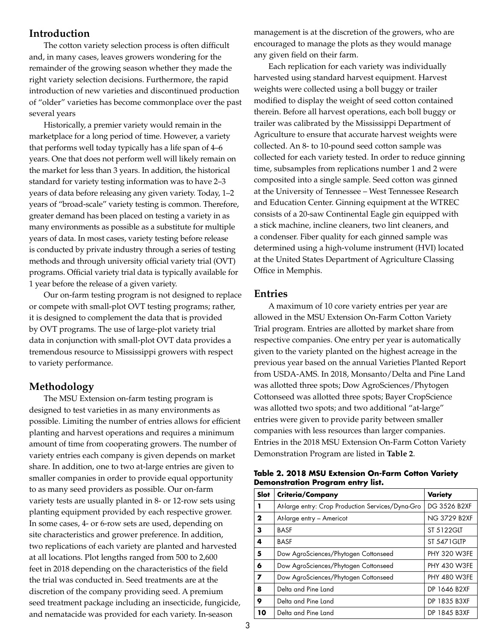## <span id="page-2-0"></span>**Introduction**

The cotton variety selection process is often difficult and, in many cases, leaves growers wondering for the remainder of the growing season whether they made the right variety selection decisions. Furthermore, the rapid introduction of new varieties and discontinued production of "older" varieties has become commonplace over the past several years

Historically, a premier variety would remain in the marketplace for a long period of time. However, a variety that performs well today typically has a life span of 4–6 years. One that does not perform well will likely remain on the market for less than 3 years. In addition, the historical standard for variety testing information was to have 2–3 years of data before releasing any given variety. Today, 1–2 years of "broad-scale" variety testing is common. Therefore, greater demand has been placed on testing a variety in as many environments as possible as a substitute for multiple years of data. In most cases, variety testing before release is conducted by private industry through a series of testing methods and through university official variety trial (OVT) programs. Official variety trial data is typically available for 1 year before the release of a given variety.

Our on-farm testing program is not designed to replace or compete with small-plot OVT testing programs; rather, it is designed to complement the data that is provided by OVT programs. The use of large-plot variety trial data in conjunction with small-plot OVT data provides a tremendous resource to Mississippi growers with respect to variety performance.

## **Methodology**

The MSU Extension on-farm testing program is designed to test varieties in as many environments as possible. Limiting the number of entries allows for efficient planting and harvest operations and requires a minimum amount of time from cooperating growers. The number of variety entries each company is given depends on market share. In addition, one to two at-large entries are given to smaller companies in order to provide equal opportunity to as many seed providers as possible. Our on-farm variety tests are usually planted in 8- or 12-row sets using planting equipment provided by each respective grower. In some cases, 4- or 6-row sets are used, depending on site characteristics and grower preference. In addition, two replications of each variety are planted and harvested at all locations. Plot lengths ranged from 500 to 2,600 feet in 2018 depending on the characteristics of the field the trial was conducted in. Seed treatments are at the discretion of the company providing seed. A premium seed treatment package including an insecticide, fungicide, and nematacide was provided for each variety. In-season

management is at the discretion of the growers, who are encouraged to manage the plots as they would manage any given field on their farm.

Each replication for each variety was individually harvested using standard harvest equipment. Harvest weights were collected using a boll buggy or trailer modified to display the weight of seed cotton contained therein. Before all harvest operations, each boll buggy or trailer was calibrated by the Mississippi Department of Agriculture to ensure that accurate harvest weights were collected. An 8- to 10-pound seed cotton sample was collected for each variety tested. In order to reduce ginning time, subsamples from replications number 1 and 2 were composited into a single sample. Seed cotton was ginned at the University of Tennessee – West Tennessee Research and Education Center. Ginning equipment at the WTREC consists of a 20-saw Continental Eagle gin equipped with a stick machine, incline cleaners, two lint cleaners, and a condenser. Fiber quality for each ginned sample was determined using a high-volume instrument (HVI) located at the United States Department of Agriculture Classing Office in Memphis.

#### **Entries**

A maximum of 10 core variety entries per year are allowed in the MSU Extension On-Farm Cotton Variety Trial program. Entries are allotted by market share from respective companies. One entry per year is automatically given to the variety planted on the highest acreage in the previous year based on the annual Varieties Planted Report from USDA-AMS. In 2018, Monsanto/Delta and Pine Land was allotted three spots; Dow AgroSciences/Phytogen Cottonseed was allotted three spots; Bayer CropScience was allotted two spots; and two additional "at-large" entries were given to provide parity between smaller companies with less resources than larger companies. Entries in the 2018 MSU Extension On-Farm Cotton Variety Demonstration Program are listed in **Table 2**.

| Slot                    | Criteria/Company                                  | Variety             |
|-------------------------|---------------------------------------------------|---------------------|
| т                       | At-large entry: Crop Production Services/Dyna-Gro | DG 3526 B2XF        |
| $\overline{\mathbf{2}}$ | At-large entry - Americot                         | <b>NG 3729 B2XF</b> |
| 3                       | <b>BASF</b>                                       | ST 5122GLT          |
| 4                       | <b>BASF</b>                                       | <b>ST 5471GLTP</b>  |
| -5                      | Dow AgroSciences/Phytogen Cottonseed              | <b>PHY 320 W3FE</b> |
| 6                       | Dow AgroSciences/Phytogen Cottonseed              | <b>PHY 430 W3FE</b> |
| $\overline{ }$          | Dow AgroSciences/Phytogen Cottonseed              | <b>PHY 480 W3FE</b> |
| 8                       | Delta and Pine Land                               | DP 1646 B2XF        |
| 9                       | Delta and Pine Land                               | DP 1835 B3XF        |
| 10                      | Delta and Pine Land                               | DP 1845 B3XF        |
|                         |                                                   |                     |

**Table 2. 2018 MSU Extension On-Farm Cotton Variety Demonstration Program entry list.**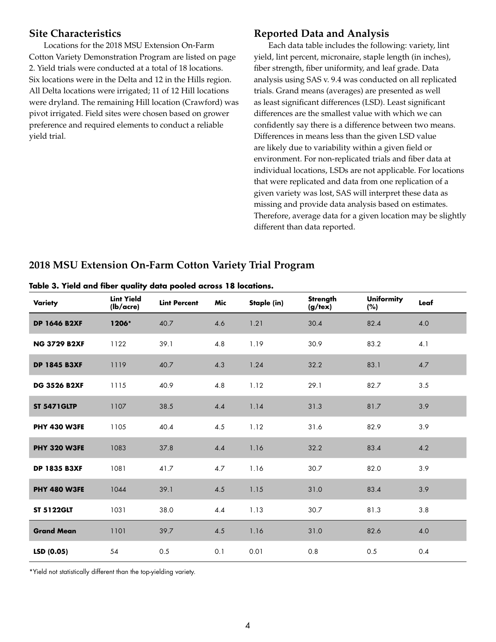## <span id="page-3-0"></span>**Site Characteristics**

Locations for the 2018 MSU Extension On-Farm Cotton Variety Demonstration Program are listed on page 2. Yield trials were conducted at a total of 18 locations. Six locations were in the Delta and 12 in the Hills region. All Delta locations were irrigated; 11 of 12 Hill locations were dryland. The remaining Hill location (Crawford) was pivot irrigated. Field sites were chosen based on grower preference and required elements to conduct a reliable yield trial.

## **Reported Data and Analysis**

Each data table includes the following: variety, lint yield, lint percent, micronaire, staple length (in inches), fiber strength, fiber uniformity, and leaf grade. Data analysis using SAS v. 9.4 was conducted on all replicated trials. Grand means (averages) are presented as well as least significant differences (LSD). Least significant differences are the smallest value with which we can confidently say there is a difference between two means. Differences in means less than the given LSD value are likely due to variability within a given field or environment. For non-replicated trials and fiber data at individual locations, LSDs are not applicable. For locations that were replicated and data from one replication of a given variety was lost, SAS will interpret these data as missing and provide data analysis based on estimates. Therefore, average data for a given location may be slightly different than data reported.

# **2018 MSU Extension On-Farm Cotton Variety Trial Program**

|  |  |  |  |  |  |  |  |  | Table 3. Yield and fiber quality data pooled across 18 locations. |
|--|--|--|--|--|--|--|--|--|-------------------------------------------------------------------|
|--|--|--|--|--|--|--|--|--|-------------------------------------------------------------------|

| Variety             | <b>Lint Yield</b><br>(lb/acre) | <b>Lint Percent</b> | Mic     | Staple (in) | Strength<br>$(g$ /tex $)$ | <b>Uniformity</b><br>(%) | Leaf |
|---------------------|--------------------------------|---------------------|---------|-------------|---------------------------|--------------------------|------|
| <b>DP 1646 B2XF</b> | 1206*                          | 40.7                | 4.6     | 1.21        | 30.4                      | 82.4                     | 4.0  |
| <b>NG 3729 B2XF</b> | 1122                           | 39.1                | 4.8     | 1.19        | 30.9                      | 83.2                     | 4.1  |
| <b>DP 1845 B3XF</b> | 1119                           | 40.7                | 4.3     | 1.24        | 32.2                      | 83.1                     | 4.7  |
| <b>DG 3526 B2XF</b> | 1115                           | 40.9                | 4.8     | 1.12        | 29.1                      | 82.7                     | 3.5  |
| <b>ST 5471GLTP</b>  | 1107                           | 38.5                | 4.4     | 1.14        | 31.3                      | 81.7                     | 3.9  |
| <b>PHY 430 W3FE</b> | 1105                           | 40.4                | 4.5     | 1.12        | 31.6                      | 82.9                     | 3.9  |
| PHY 320 W3FE        | 1083                           | 37.8                | 4.4     | 1.16        | 32.2                      | 83.4                     | 4.2  |
| <b>DP 1835 B3XF</b> | 1081                           | 41.7                | $4.7\,$ | 1.16        | 30.7                      | 82.0                     | 3.9  |
| PHY 480 W3FE        | 1044                           | 39.1                | 4.5     | 1.15        | 31.0                      | 83.4                     | 3.9  |
| <b>ST 5122GLT</b>   | 1031                           | 38.0                | 4.4     | 1.13        | 30.7                      | 81.3                     | 3.8  |
| <b>Grand Mean</b>   | 1101                           | 39.7                | 4.5     | 1.16        | 31.0                      | 82.6                     | 4.0  |
| LSD (0.05)          | 54                             | 0.5                 | 0.1     | 0.01        | 0.8                       | 0.5                      | 0.4  |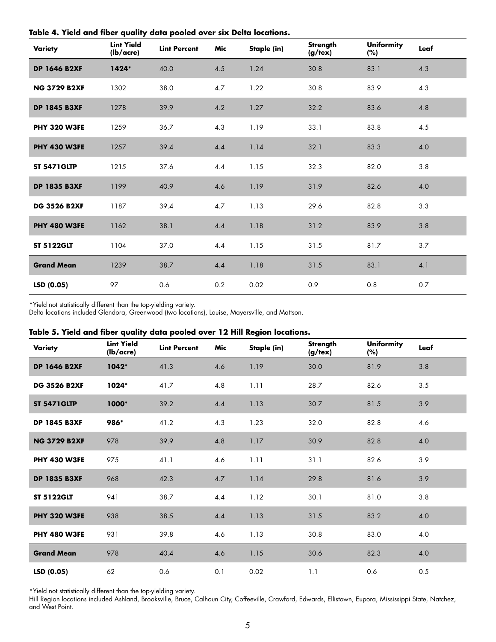| Variety             | <b>Lint Yield</b><br>(lb/acre) | <b>Lint Percent</b> | Mic | Staple (in) | Strength<br>(g/text) | <b>Uniformity</b><br>(%) | Leaf |  |
|---------------------|--------------------------------|---------------------|-----|-------------|----------------------|--------------------------|------|--|
| <b>DP 1646 B2XF</b> | 1424*                          | 40.0                | 4.5 | 1.24        | 30.8                 | 83.1                     | 4.3  |  |
| <b>NG 3729 B2XF</b> | 1302                           | 38.0                | 4.7 | 1.22        | 30.8                 | 83.9                     | 4.3  |  |
| <b>DP 1845 B3XF</b> | 1278                           | 39.9                | 4.2 | 1.27        | 32.2                 | 83.6                     | 4.8  |  |
| <b>PHY 320 W3FE</b> | 1259                           | 36.7                | 4.3 | 1.19        | 33.1                 | 83.8                     | 4.5  |  |
| <b>PHY 430 W3FE</b> | 1257                           | 39.4                | 4.4 | 1.14        | 32.1                 | 83.3                     | 4.0  |  |
| <b>ST 5471GLTP</b>  | 1215                           | 37.6                | 4.4 | 1.15        | 32.3                 | 82.0                     | 3.8  |  |
| <b>DP 1835 B3XF</b> | 1199                           | 40.9                | 4.6 | 1.19        | 31.9                 | 82.6                     | 4.0  |  |
| <b>DG 3526 B2XF</b> | 1187                           | 39.4                | 4.7 | 1.13        | 29.6                 | 82.8                     | 3.3  |  |
| <b>PHY 480 W3FE</b> | 1162                           | 38.1                | 4.4 | 1.18        | 31.2                 | 83.9                     | 3.8  |  |
| <b>ST 5122GLT</b>   | 1104                           | 37.0                | 4.4 | 1.15        | 31.5                 | 81.7                     | 3.7  |  |
| <b>Grand Mean</b>   | 1239                           | 38.7                | 4.4 | 1.18        | 31.5                 | 83.1                     | 4.1  |  |
| LSD(0.05)           | 97                             | 0.6                 | 0.2 | 0.02        | 0.9                  | 0.8                      | 0.7  |  |

<span id="page-4-0"></span>**Table 4. Yield and fiber quality data pooled over six Delta locations.**

\*Yield not statistically different than the top-yielding variety.

Delta locations included Glendora, Greenwood (two locations), Louise, Mayersville, and Mattson.

#### **Table 5. Yield and fiber quality data pooled over 12 Hill Region locations.**

| Variety             | <b>Lint Yield</b><br>(lb/acre) | <b>Lint Percent</b> | Mic | Staple (in) | Strength<br>$(g/\text{tex})$ | <b>Uniformity</b><br>(%) | Leaf |
|---------------------|--------------------------------|---------------------|-----|-------------|------------------------------|--------------------------|------|
| <b>DP 1646 B2XF</b> | $1042*$                        | 41.3                | 4.6 | 1.19        | 30.0                         | 81.9                     | 3.8  |
| <b>DG 3526 B2XF</b> | 1024*                          | 41.7                | 4.8 | 1.11        | 28.7                         | 82.6                     | 3.5  |
| <b>ST 5471GLTP</b>  | 1000*                          | 39.2                | 4.4 | 1.13        | 30.7                         | 81.5                     | 3.9  |
| <b>DP 1845 B3XF</b> | 986*                           | 41.2                | 4.3 | 1.23        | 32.0                         | 82.8                     | 4.6  |
| <b>NG 3729 B2XF</b> | 978                            | 39.9                | 4.8 | 1.17        | 30.9                         | 82.8                     | 4.0  |
| <b>PHY 430 W3FE</b> | 975                            | 41.1                | 4.6 | 1.11        | 31.1                         | 82.6                     | 3.9  |
| <b>DP 1835 B3XF</b> | 968                            | 42.3                | 4.7 | 1.14        | 29.8                         | 81.6                     | 3.9  |
| <b>ST 5122GLT</b>   | 941                            | 38.7                | 4.4 | 1.12        | 30.1                         | 81.0                     | 3.8  |
| <b>PHY 320 W3FE</b> | 938                            | 38.5                | 4.4 | 1.13        | 31.5                         | 83.2                     | 4.0  |
| <b>PHY 480 W3FE</b> | 931                            | 39.8                | 4.6 | 1.13        | 30.8                         | 83.0                     | 4.0  |
| <b>Grand Mean</b>   | 978                            | 40.4                | 4.6 | 1.15        | 30.6                         | 82.3                     | 4.0  |
| LSD (0.05)          | 62                             | 0.6                 | 0.1 | 0.02        | 1.1                          | 0.6                      | 0.5  |

\*Yield not statistically different than the top-yielding variety.

Hill Region locations included Ashland, Brooksville, Bruce, Calhoun City, Coffeeville, Crawford, Edwards, Ellistown, Eupora, Mississippi State, Natchez, and West Point.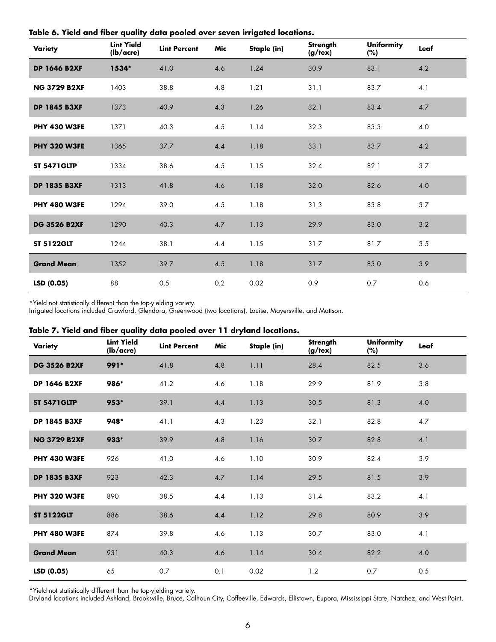| Variety             | <b>Lint Yield</b><br>(lb/acre) | <b>Lint Percent</b> | Mic | Staple (in) | <b>Strength</b><br>(g/text) | <b>Uniformity</b><br>(%) | Leaf |
|---------------------|--------------------------------|---------------------|-----|-------------|-----------------------------|--------------------------|------|
| <b>DP 1646 B2XF</b> | 1534*                          | 41.0                | 4.6 | 1.24        | 30.9                        | 83.1                     | 4.2  |
| <b>NG 3729 B2XF</b> | 1403                           | 38.8                | 4.8 | 1.21        | 31.1                        | 83.7                     | 4.1  |
| <b>DP 1845 B3XF</b> | 1373                           | 40.9                | 4.3 | 1.26        | 32.1                        | 83.4                     | 4.7  |
| <b>PHY 430 W3FE</b> | 1371                           | 40.3                | 4.5 | 1.14        | 32.3                        | 83.3                     | 4.0  |
| <b>PHY 320 W3FE</b> | 1365                           | 37.7                | 4.4 | 1.18        | 33.1                        | 83.7                     | 4.2  |
| <b>ST 5471GLTP</b>  | 1334                           | 38.6                | 4.5 | 1.15        | 32.4                        | 82.1                     | 3.7  |
| <b>DP 1835 B3XF</b> | 1313                           | 41.8                | 4.6 | 1.18        | 32.0                        | 82.6                     | 4.0  |
| <b>PHY 480 W3FE</b> | 1294                           | 39.0                | 4.5 | 1.18        | 31.3                        | 83.8                     | 3.7  |
| <b>DG 3526 B2XF</b> | 1290                           | 40.3                | 4.7 | 1.13        | 29.9                        | 83.0                     | 3.2  |
| <b>ST 5122GLT</b>   | 1244                           | 38.1                | 4.4 | 1.15        | 31.7                        | 81.7                     | 3.5  |
| <b>Grand Mean</b>   | 1352                           | 39.7                | 4.5 | 1.18        | 31.7                        | 83.0                     | 3.9  |
| LSD (0.05)          | 88                             | 0.5                 | 0.2 | 0.02        | 0.9                         | 0.7                      | 0.6  |

<span id="page-5-0"></span>**Table 6. Yield and fiber quality data pooled over seven irrigated locations.**

\*Yield not statistically different than the top-yielding variety.

Irrigated locations included Crawford, Glendora, Greenwood (two locations), Louise, Mayersville, and Mattson.

|  |  |  |  |  |  |  | Table 7. Yield and fiber quality data pooled over 11 dryland locations. |  |  |  |  |  |
|--|--|--|--|--|--|--|-------------------------------------------------------------------------|--|--|--|--|--|
|--|--|--|--|--|--|--|-------------------------------------------------------------------------|--|--|--|--|--|

| Variety             | <b>Lint Yield</b><br>(lb/acre) | <b>Lint Percent</b> | Mic | Staple (in) | Strength<br>(g/text) | <b>Uniformity</b><br>(%) | Leaf |
|---------------------|--------------------------------|---------------------|-----|-------------|----------------------|--------------------------|------|
| <b>DG 3526 B2XF</b> | 991*                           | 41.8                | 4.8 | 1.11        | 28.4                 | 82.5                     | 3.6  |
| <b>DP 1646 B2XF</b> | 986*                           | 41.2                | 4.6 | 1.18        | 29.9                 | 81.9                     | 3.8  |
| <b>ST 5471GLTP</b>  | 953*                           | 39.1                | 4.4 | 1.13        | 30.5                 | 81.3                     | 4.0  |
| <b>DP 1845 B3XF</b> | 948*                           | 41.1                | 4.3 | 1.23        | 32.1                 | 82.8                     | 4.7  |
| <b>NG 3729 B2XF</b> | $933*$                         | 39.9                | 4.8 | 1.16        | 30.7                 | 82.8                     | 4.1  |
| <b>PHY 430 W3FE</b> | 926                            | 41.0                | 4.6 | 1.10        | 30.9                 | 82.4                     | 3.9  |
| <b>DP 1835 B3XF</b> | 923                            | 42.3                | 4.7 | 1.14        | 29.5                 | 81.5                     | 3.9  |
| <b>PHY 320 W3FE</b> | 890                            | 38.5                | 4.4 | 1.13        | 31.4                 | 83.2                     | 4.1  |
| <b>ST 5122GLT</b>   | 886                            | 38.6                | 4.4 | 1.12        | 29.8                 | 80.9                     | 3.9  |
| <b>PHY 480 W3FE</b> | 874                            | 39.8                | 4.6 | 1.13        | 30.7                 | 83.0                     | 4.1  |
| <b>Grand Mean</b>   | 931                            | 40.3                | 4.6 | 1.14        | 30.4                 | 82.2                     | 4.0  |
| LSD (0.05)          | 65                             | 0.7                 | 0.1 | 0.02        | 1.2                  | 0.7                      | 0.5  |

\*Yield not statistically different than the top-yielding variety.

Dryland locations included Ashland, Brooksville, Bruce, Calhoun City, Coffeeville, Edwards, Ellistown, Eupora, Mississippi State, Natchez, and West Point.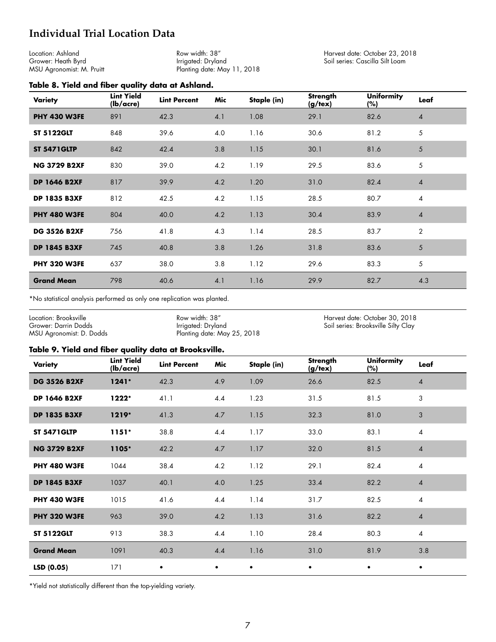# <span id="page-6-0"></span>**Individual Trial Location Data**

Location: Ashland Grower: Heath Byrd MSU Agronomist: M. Pruitt

Row width: 38" Irrigated: Dryland Planting date: May 11, 2018 Harvest date: October 23, 2018 Soil series: Cascilla Silt Loam

#### **Table 8. Yield and fiber quality data at Ashland.**

| <b>Variety</b>      | <b>Lint Yield</b><br>(lb/acre) | <b>Lint Percent</b> | Mic | Staple (in) | <b>Strength</b><br>$(g/\text{tex})$ | <b>Uniformity</b><br>(%) | Leaf           |
|---------------------|--------------------------------|---------------------|-----|-------------|-------------------------------------|--------------------------|----------------|
| <b>PHY 430 W3FE</b> | 891                            | 42.3                | 4.1 | 1.08        | 29.1                                | 82.6                     | $\overline{4}$ |
| <b>ST 5122GLT</b>   | 848                            | 39.6                | 4.0 | 1.16        | 30.6                                | 81.2                     | 5              |
| <b>ST 5471GLTP</b>  | 842                            | 42.4                | 3.8 | 1.15        | 30.1                                | 81.6                     | 5              |
| <b>NG 3729 B2XF</b> | 830                            | 39.0                | 4.2 | 1.19        | 29.5                                | 83.6                     | 5              |
| <b>DP 1646 B2XF</b> | 817                            | 39.9                | 4.2 | 1.20        | 31.0                                | 82.4                     | $\overline{4}$ |
| <b>DP 1835 B3XF</b> | 812                            | 42.5                | 4.2 | 1.15        | 28.5                                | 80.7                     | 4              |
| <b>PHY 480 W3FE</b> | 804                            | 40.0                | 4.2 | 1.13        | 30.4                                | 83.9                     | 4              |
| <b>DG 3526 B2XF</b> | 756                            | 41.8                | 4.3 | 1.14        | 28.5                                | 83.7                     | $\overline{2}$ |
| <b>DP 1845 B3XF</b> | 745                            | 40.8                | 3.8 | 1.26        | 31.8                                | 83.6                     | 5              |
| <b>PHY 320 W3FE</b> | 637                            | 38.0                | 3.8 | 1.12        | 29.6                                | 83.3                     | 5              |
| <b>Grand Mean</b>   | 798                            | 40.6                | 4.1 | 1.16        | 29.9                                | 82.7                     | 4.3            |

\*No statistical analysis performed as only one replication was planted.

Location: Brooksville Grower: Darrin Dodds MSU Agronomist: D. Dodds

Row width: 38" Irrigated: Dryland Planting date: May 25, 2018 Harvest date: October 30, 2018 Soil series: Brooksville Silty Clay

#### **Table 9. Yield and fiber quality data at Brooksville.**

| Variety             | <b>Lint Yield</b><br>$(lb/ \text{acre})$ | <b>Lint Percent</b> | Mic       | Staple (in) | Strength<br>$(g/\text{tex})$ | <b>Uniformity</b><br>(%) | Leaf           |
|---------------------|------------------------------------------|---------------------|-----------|-------------|------------------------------|--------------------------|----------------|
| <b>DG 3526 B2XF</b> | $1241*$                                  | 42.3                | 4.9       | 1.09        | 26.6                         | 82.5                     | $\overline{4}$ |
| <b>DP 1646 B2XF</b> | 1222*                                    | 41.1                | 4.4       | 1.23        | 31.5                         | 81.5                     | 3              |
| <b>DP 1835 B3XF</b> | $1219*$                                  | 41.3                | 4.7       | 1.15        | 32.3                         | 81.0                     | 3              |
| <b>ST 5471GLTP</b>  | $1151*$                                  | 38.8                | 4.4       | 1.17        | 33.0                         | 83.1                     | $\overline{4}$ |
| <b>NG 3729 B2XF</b> | 1105*                                    | 42.2                | 4.7       | 1.17        | 32.0                         | 81.5                     | $\overline{4}$ |
| <b>PHY 480 W3FE</b> | 1044                                     | 38.4                | 4.2       | 1.12        | 29.1                         | 82.4                     | $\overline{4}$ |
| <b>DP 1845 B3XF</b> | 1037                                     | 40.1                | 4.0       | 1.25        | 33.4                         | 82.2                     | $\overline{4}$ |
| <b>PHY 430 W3FE</b> | 1015                                     | 41.6                | 4.4       | 1.14        | 31.7                         | 82.5                     | $\overline{4}$ |
| <b>PHY 320 W3FE</b> | 963                                      | 39.0                | 4.2       | 1.13        | 31.6                         | 82.2                     | $\overline{4}$ |
| <b>ST 5122GLT</b>   | 913                                      | 38.3                | 4.4       | 1.10        | 28.4                         | 80.3                     | $\overline{4}$ |
| <b>Grand Mean</b>   | 1091                                     | 40.3                | 4.4       | 1.16        | 31.0                         | 81.9                     | 3.8            |
| LSD(0.05)           | 171                                      | $\bullet$           | $\bullet$ | $\bullet$   | $\bullet$                    | $\bullet$                | $\bullet$      |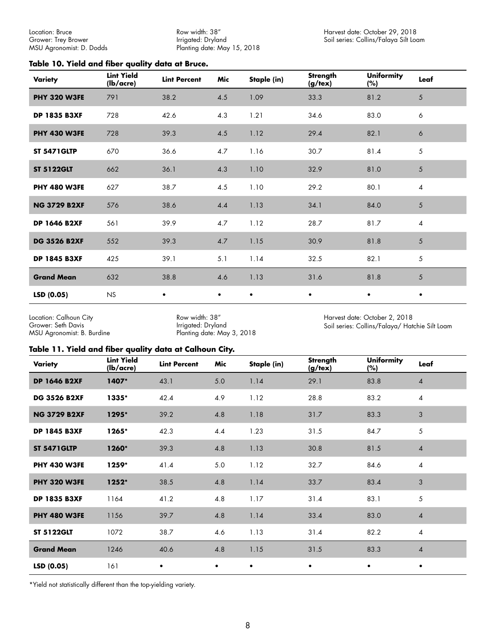Row width: 38" Irrigated: Dryland Planting date: May 15, 2018

#### <span id="page-7-0"></span>**Table 10. Yield and fiber quality data at Bruce.**

| Variety             | <b>Lint Yield</b><br>(lb/acre) | <b>Lint Percent</b> | Mic       | Staple (in) | <b>Strength</b><br>$(g/\text{tex})$ | <b>Uniformity</b><br>(%) | Leaf           |
|---------------------|--------------------------------|---------------------|-----------|-------------|-------------------------------------|--------------------------|----------------|
| <b>PHY 320 W3FE</b> | 791                            | 38.2                | 4.5       | 1.09        | 33.3                                | 81.2                     | 5              |
| <b>DP 1835 B3XF</b> | 728                            | 42.6                | 4.3       | 1.21        | 34.6                                | 83.0                     | 6              |
| <b>PHY 430 W3FE</b> | 728                            | 39.3                | 4.5       | 1.12        | 29.4                                | 82.1                     | 6              |
| <b>ST 5471GLTP</b>  | 670                            | 36.6                | 4.7       | 1.16        | 30.7                                | 81.4                     | 5              |
| <b>ST 5122GLT</b>   | 662                            | 36.1                | 4.3       | 1.10        | 32.9                                | 81.0                     | 5              |
| <b>PHY 480 W3FE</b> | 627                            | 38.7                | 4.5       | 1.10        | 29.2                                | 80.1                     | $\overline{4}$ |
| <b>NG 3729 B2XF</b> | 576                            | 38.6                | 4.4       | 1.13        | 34.1                                | 84.0                     | 5              |
| <b>DP 1646 B2XF</b> | 561                            | 39.9                | 4.7       | 1.12        | 28.7                                | 81.7                     | $\overline{4}$ |
| <b>DG 3526 B2XF</b> | 552                            | 39.3                | 4.7       | 1.15        | 30.9                                | 81.8                     | 5              |
| <b>DP 1845 B3XF</b> | 425                            | 39.1                | 5.1       | 1.14        | 32.5                                | 82.1                     | 5              |
| <b>Grand Mean</b>   | 632                            | 38.8                | 4.6       | 1.13        | 31.6                                | 81.8                     | 5              |
| LSD (0.05)          | NS                             | $\bullet$           | $\bullet$ | $\bullet$   | $\bullet$                           | $\bullet$                | $\bullet$      |

Location: Calhoun City Grower: Seth Davis MSU Agronomist: B. Burdine

Row width: 38" Irrigated: Dryland Planting date: May 3, 2018 Harvest date: October 2, 2018 Soil series: Collins/Falaya/ Hatchie Silt Loam

#### **Table 11. Yield and fiber quality data at Calhoun City.**

| Variety             | <b>Lint Yield</b><br>(lb/acre) | <b>Lint Percent</b> | Mic       | Staple (in) | Strength<br>$(g/\text{tex})$ | <b>Uniformity</b><br>(%) | Leaf           |
|---------------------|--------------------------------|---------------------|-----------|-------------|------------------------------|--------------------------|----------------|
| <b>DP 1646 B2XF</b> | 1407*                          | 43.1                | $5.0$     | 1.14        | 29.1                         | 83.8                     | 4              |
| <b>DG 3526 B2XF</b> | 1335*                          | 42.4                | 4.9       | 1.12        | 28.8                         | 83.2                     | 4              |
| <b>NG 3729 B2XF</b> | 1295*                          | 39.2                | 4.8       | 1.18        | 31.7                         | 83.3                     | 3              |
| <b>DP 1845 B3XF</b> | 1265*                          | 42.3                | 4.4       | 1.23        | 31.5                         | 84.7                     | 5              |
| <b>ST 5471GLTP</b>  | 1260*                          | 39.3                | 4.8       | 1.13        | 30.8                         | 81.5                     | $\overline{4}$ |
| <b>PHY 430 W3FE</b> | 1259*                          | 41.4                | 5.0       | 1.12        | 32.7                         | 84.6                     | $\overline{4}$ |
| <b>PHY 320 W3FE</b> | 1252*                          | 38.5                | 4.8       | 1.14        | 33.7                         | 83.4                     | 3              |
| <b>DP 1835 B3XF</b> | 1164                           | 41.2                | 4.8       | 1.17        | 31.4                         | 83.1                     | 5              |
| <b>PHY 480 W3FE</b> | 1156                           | 39.7                | 4.8       | 1.14        | 33.4                         | 83.0                     | $\overline{4}$ |
| <b>ST 5122GLT</b>   | 1072                           | 38.7                | 4.6       | 1.13        | 31.4                         | 82.2                     | 4              |
| <b>Grand Mean</b>   | 1246                           | 40.6                | 4.8       | 1.15        | 31.5                         | 83.3                     | $\overline{4}$ |
| LSD(0.05)           | 161                            | $\bullet$           | $\bullet$ |             | ٠                            | ٠                        |                |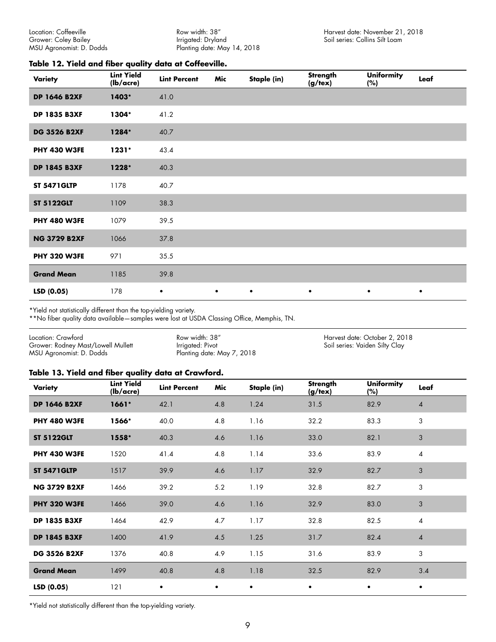Row width: 38" Irrigated: Dryland Planting date: May 14, 2018

#### <span id="page-8-0"></span>**Table 12. Yield and fiber quality data at Coffeeville.**

| Variety             | <b>Lint Yield</b><br>(lb/acre) | <b>Lint Percent</b> | Mic       | Staple (in) | Strength<br>$(g/\text{tex})$ | <b>Uniformity</b><br>(%) | Leaf      |
|---------------------|--------------------------------|---------------------|-----------|-------------|------------------------------|--------------------------|-----------|
| <b>DP 1646 B2XF</b> | 1403*                          | 41.0                |           |             |                              |                          |           |
| <b>DP 1835 B3XF</b> | 1304*                          | 41.2                |           |             |                              |                          |           |
| <b>DG 3526 B2XF</b> | 1284*                          | 40.7                |           |             |                              |                          |           |
| <b>PHY 430 W3FE</b> | $1231*$                        | 43.4                |           |             |                              |                          |           |
| <b>DP 1845 B3XF</b> | 1228*                          | 40.3                |           |             |                              |                          |           |
| <b>ST 5471GLTP</b>  | 1178                           | 40.7                |           |             |                              |                          |           |
| <b>ST 5122GLT</b>   | 1109                           | 38.3                |           |             |                              |                          |           |
| <b>PHY 480 W3FE</b> | 1079                           | 39.5                |           |             |                              |                          |           |
| <b>NG 3729 B2XF</b> | 1066                           | 37.8                |           |             |                              |                          |           |
| <b>PHY 320 W3FE</b> | 971                            | 35.5                |           |             |                              |                          |           |
| <b>Grand Mean</b>   | 1185                           | 39.8                |           |             |                              |                          |           |
| LSD (0.05)          | 178                            | $\bullet$           | $\bullet$ | $\bullet$   | $\bullet$                    | $\bullet$                | $\bullet$ |

\*Yield not statistically different than the top-yielding variety.

\*\*No fiber quality data available—samples were lost at USDA Classing Office, Memphis, TN.

| Location: Crawford                 | Row width: 38"             | Harvest date: October 2, 2018  |
|------------------------------------|----------------------------|--------------------------------|
| Grower: Rodney Mast/Lowell Mullett | Irrigated: Pivot           | Soil series: Vaiden Silty Clay |
| MSU Agronomist: D. Dodds           | Planting date: May 7, 2018 |                                |

#### **Table 13. Yield and fiber quality data at Crawford.**

| <b>Variety</b>      | <b>Lint Yield</b><br>(lb/acre) | <b>Lint Percent</b> | Mic       | Staple (in) | <b>Strength</b><br>$(g/\text{tex})$ | <b>Uniformity</b><br>(%) | Leaf           |
|---------------------|--------------------------------|---------------------|-----------|-------------|-------------------------------------|--------------------------|----------------|
| <b>DP 1646 B2XF</b> | $1661*$                        | 42.1                | 4.8       | 1.24        | 31.5                                | 82.9                     | $\overline{4}$ |
| <b>PHY 480 W3FE</b> | 1566*                          | 40.0                | 4.8       | 1.16        | 32.2                                | 83.3                     | 3              |
| <b>ST 5122GLT</b>   | 1558*                          | 40.3                | 4.6       | 1.16        | 33.0                                | 82.1                     | 3              |
| <b>PHY 430 W3FE</b> | 1520                           | 41.4                | 4.8       | 1.14        | 33.6                                | 83.9                     | 4              |
| <b>ST 5471GLTP</b>  | 1517                           | 39.9                | 4.6       | 1.17        | 32.9                                | 82.7                     | 3              |
| <b>NG 3729 B2XF</b> | 1466                           | 39.2                | 5.2       | 1.19        | 32.8                                | 82.7                     | 3              |
| <b>PHY 320 W3FE</b> | 1466                           | 39.0                | 4.6       | 1.16        | 32.9                                | 83.0                     | 3              |
| <b>DP 1835 B3XF</b> | 1464                           | 42.9                | 4.7       | 1.17        | 32.8                                | 82.5                     | 4              |
| <b>DP 1845 B3XF</b> | 1400                           | 41.9                | 4.5       | 1.25        | 31.7                                | 82.4                     | 4              |
| <b>DG 3526 B2XF</b> | 1376                           | 40.8                | 4.9       | 1.15        | 31.6                                | 83.9                     | 3              |
| <b>Grand Mean</b>   | 1499                           | 40.8                | 4.8       | 1.18        | 32.5                                | 82.9                     | 3.4            |
| LSD (0.05)          | 121                            | $\bullet$           | $\bullet$ | $\bullet$   | $\bullet$                           | $\bullet$                | $\bullet$      |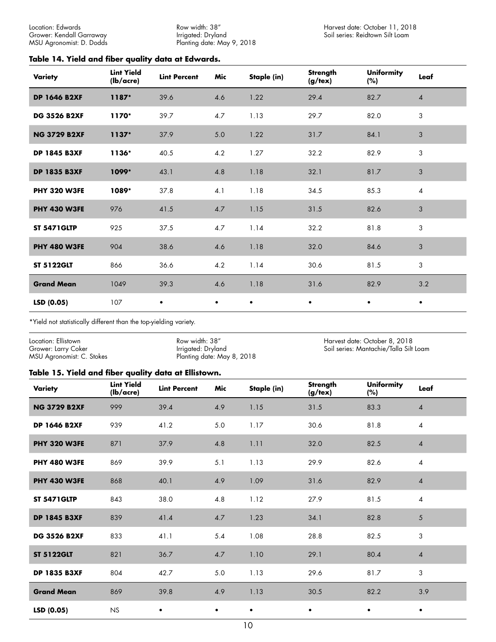Row width: 38" Irrigated: Dryland Planting date: May 9, 2018

## <span id="page-9-0"></span>**Table 14. Yield and fiber quality data at Edwards.**

| Variety             | <b>Lint Yield</b><br>(lb/acre) | <b>Lint Percent</b> | Mic       | Staple (in) | Strength<br>(g/tex) | <b>Uniformity</b><br>(%) | Leaf           |
|---------------------|--------------------------------|---------------------|-----------|-------------|---------------------|--------------------------|----------------|
| <b>DP 1646 B2XF</b> | 1187*                          | 39.6                | 4.6       | 1.22        | 29.4                | 82.7                     | $\overline{4}$ |
| <b>DG 3526 B2XF</b> | 1170*                          | 39.7                | 4.7       | 1.13        | 29.7                | 82.0                     | 3              |
| <b>NG 3729 B2XF</b> | $1137*$                        | 37.9                | $5.0$     | 1.22        | 31.7                | 84.1                     | 3              |
| <b>DP 1845 B3XF</b> | 1136*                          | 40.5                | 4.2       | 1.27        | 32.2                | 82.9                     | 3              |
| <b>DP 1835 B3XF</b> | 1099*                          | 43.1                | 4.8       | 1.18        | 32.1                | 81.7                     | 3              |
| <b>PHY 320 W3FE</b> | 1089*                          | 37.8                | 4.1       | 1.18        | 34.5                | 85.3                     | $\overline{4}$ |
| <b>PHY 430 W3FE</b> | 976                            | 41.5                | 4.7       | 1.15        | 31.5                | 82.6                     | 3              |
| <b>ST 5471GLTP</b>  | 925                            | 37.5                | 4.7       | 1.14        | 32.2                | 81.8                     | 3              |
| <b>PHY 480 W3FE</b> | 904                            | 38.6                | 4.6       | 1.18        | 32.0                | 84.6                     | 3              |
| <b>ST 5122GLT</b>   | 866                            | 36.6                | 4.2       | 1.14        | 30.6                | 81.5                     | 3              |
| <b>Grand Mean</b>   | 1049                           | 39.3                | 4.6       | 1.18        | 31.6                | 82.9                     | 3.2            |
| LSD (0.05)          | 107                            | $\bullet$           | $\bullet$ | $\bullet$   | $\bullet$           | $\bullet$                | $\bullet$      |

\*Yield not statistically different than the top-yielding variety.

| Location: Ellistown       | Row width: 38"             | Harvest date: October 8, 2018          |
|---------------------------|----------------------------|----------------------------------------|
| Grower: Larry Coker       | Irrigated: Dryland         | Soil series: Mantachie/Talla Silt Loam |
| MSU Agronomist: C. Stokes | Planting date: May 8, 2018 |                                        |

#### **Table 15. Yield and fiber quality data at Ellistown.**

| Variety             | <b>Lint Yield</b><br>(lb/acre) | <b>Lint Percent</b> | Mic       | Staple (in) | Strength<br>$(g/\text{tex})$ | <b>Uniformity</b><br>$(\%)$ | Leaf           |
|---------------------|--------------------------------|---------------------|-----------|-------------|------------------------------|-----------------------------|----------------|
| <b>NG 3729 B2XF</b> | 999                            | 39.4                | 4.9       | 1.15        | 31.5                         | 83.3                        | $\overline{4}$ |
| <b>DP 1646 B2XF</b> | 939                            | 41.2                | $5.0$     | 1.17        | 30.6                         | 81.8                        | $\overline{4}$ |
| <b>PHY 320 W3FE</b> | 871                            | 37.9                | 4.8       | 1.11        | 32.0                         | 82.5                        | 4              |
| <b>PHY 480 W3FE</b> | 869                            | 39.9                | 5.1       | 1.13        | 29.9                         | 82.6                        | 4              |
| <b>PHY 430 W3FE</b> | 868                            | 40.1                | 4.9       | 1.09        | 31.6                         | 82.9                        | $\overline{4}$ |
| <b>ST 5471GLTP</b>  | 843                            | 38.0                | 4.8       | 1.12        | 27.9                         | 81.5                        | $\overline{4}$ |
| <b>DP 1845 B3XF</b> | 839                            | 41.4                | 4.7       | 1.23        | 34.1                         | 82.8                        | 5              |
| <b>DG 3526 B2XF</b> | 833                            | 41.1                | 5.4       | 1.08        | 28.8                         | 82.5                        | 3              |
| <b>ST 5122GLT</b>   | 821                            | 36.7                | 4.7       | 1.10        | 29.1                         | 80.4                        | $\overline{4}$ |
| <b>DP 1835 B3XF</b> | 804                            | 42.7                | 5.0       | 1.13        | 29.6                         | 81.7                        | 3              |
| <b>Grand Mean</b>   | 869                            | 39.8                | 4.9       | 1.13        | 30.5                         | 82.2                        | 3.9            |
| LSD(0.05)           | <b>NS</b>                      | $\bullet$           | $\bullet$ |             | $\bullet$                    | ٠                           | $\bullet$      |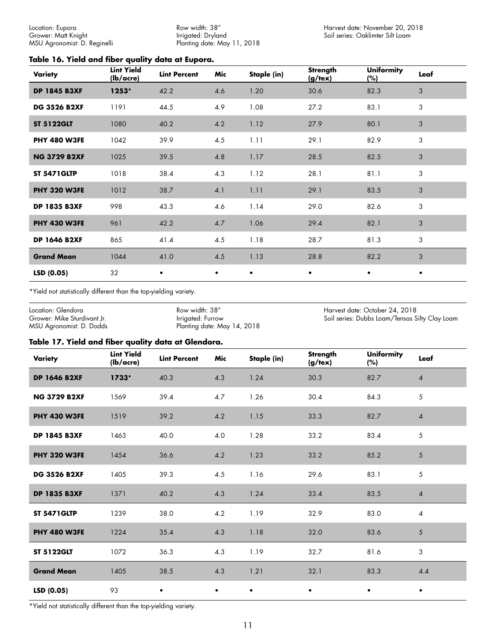<span id="page-10-0"></span>Location: Eupora Grower: Matt Knight MSU Agronomist: D. Reginelli

Row width: 38" Irrigated: Dryland Planting date: May 11, 2018

#### **Table 16. Yield and fiber quality data at Eupora.**

| Variety             | <b>Lint Yield</b><br>$(lb/ \text{acre})$ | <b>Lint Percent</b> | Mic       | Staple (in) | Strength<br>(g/text) | <b>Uniformity</b><br>$(\%)$ | Leaf      |
|---------------------|------------------------------------------|---------------------|-----------|-------------|----------------------|-----------------------------|-----------|
| <b>DP 1845 B3XF</b> | 1253*                                    | 42.2                | 4.6       | 1.20        | 30.6                 | 82.3                        | 3         |
| <b>DG 3526 B2XF</b> | 1191                                     | 44.5                | 4.9       | 1.08        | 27.2                 | 83.1                        | 3         |
| <b>ST 5122GLT</b>   | 1080                                     | 40.2                | 4.2       | 1.12        | 27.9                 | 80.1                        | 3         |
| <b>PHY 480 W3FE</b> | 1042                                     | 39.9                | 4.5       | 1.11        | 29.1                 | 82.9                        | 3         |
| <b>NG 3729 B2XF</b> | 1025                                     | 39.5                | 4.8       | 1.17        | 28.5                 | 82.5                        | 3         |
| <b>ST 5471GLTP</b>  | 1018                                     | 38.4                | 4.3       | 1.12        | 28.1                 | 81.1                        | 3         |
| <b>PHY 320 W3FE</b> | 1012                                     | 38.7                | 4.1       | 1.11        | 29.1                 | 83.5                        | 3         |
| <b>DP 1835 B3XF</b> | 998                                      | 43.3                | 4.6       | 1.14        | 29.0                 | 82.6                        | 3         |
| <b>PHY 430 W3FE</b> | 961                                      | 42.2                | 4.7       | 1.06        | 29.4                 | 82.1                        | 3         |
| <b>DP 1646 B2XF</b> | 865                                      | 41.4                | 4.5       | 1.18        | 28.7                 | 81.3                        | 3         |
| <b>Grand Mean</b>   | 1044                                     | 41.0                | 4.5       | 1.13        | 28.8                 | 82.2                        | 3         |
| LSD(0.05)           | 32                                       | $\bullet$           | $\bullet$ | $\bullet$   | $\bullet$            | $\bullet$                   | $\bullet$ |

\*Yield not statistically different than the top-yielding variety.

| Location: Glendora          | Row width: 38"              | Harvest date: October 24, 2018                 |
|-----------------------------|-----------------------------|------------------------------------------------|
| Grower: Mike Sturdivant Jr. | Irrigated: Furrow           | Soil series: Dubbs Loam/Tensas Silty Clay Loam |
| MSU Agronomist: D. Dodds    | Planting date: May 14, 2018 |                                                |

# **Table 17. Yield and fiber quality data at Glendora.**

| Variety             | <b>Lint Yield</b><br>(lb/acre) | <b>Lint Percent</b> | Mic       | Staple (in) | Strength<br>$(g/\text{tex})$ | <b>Uniformity</b><br>(%) | Leaf           |
|---------------------|--------------------------------|---------------------|-----------|-------------|------------------------------|--------------------------|----------------|
| <b>DP 1646 B2XF</b> | $1733*$                        | 40.3                | 4.3       | 1.24        | 30.3                         | 82.7                     | $\overline{4}$ |
| <b>NG 3729 B2XF</b> | 1569                           | 39.4                | 4.7       | 1.26        | 30.4                         | 84.3                     | 5              |
| <b>PHY 430 W3FE</b> | 1519                           | 39.2                | 4.2       | 1.15        | 33.3                         | 82.7                     | $\overline{4}$ |
| <b>DP 1845 B3XF</b> | 1463                           | 40.0                | 4.0       | 1.28        | 33.2                         | 83.4                     | 5              |
| <b>PHY 320 W3FE</b> | 1454                           | 36.6                | 4.2       | 1.23        | 33.2                         | 85.2                     | 5              |
| <b>DG 3526 B2XF</b> | 1405                           | 39.3                | 4.5       | 1.16        | 29.6                         | 83.1                     | 5              |
| <b>DP 1835 B3XF</b> | 1371                           | 40.2                | 4.3       | 1.24        | 33.4                         | 83.5                     | $\overline{4}$ |
| <b>ST 5471GLTP</b>  | 1239                           | 38.0                | 4.2       | 1.19        | 32.9                         | 83.0                     | $\overline{4}$ |
| <b>PHY 480 W3FE</b> | 1224                           | 35.4                | 4.3       | 1.18        | 32.0                         | 83.6                     | $\mathfrak{S}$ |
| <b>ST 5122GLT</b>   | 1072                           | 36.3                | 4.3       | 1.19        | 32.7                         | 81.6                     | 3              |
| <b>Grand Mean</b>   | 1405                           | 38.5                | 4.3       | 1.21        | 32.1                         | 83.3                     | 4.4            |
| LSD(0.05)           | 93                             | $\bullet$           | $\bullet$ | ٠           | $\bullet$                    | $\bullet$                | $\bullet$      |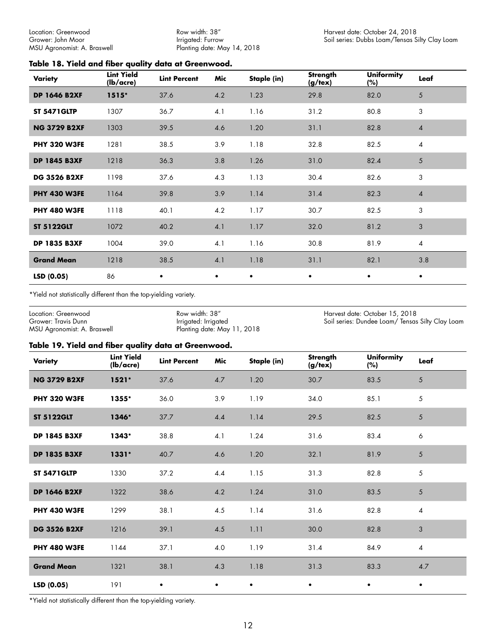<span id="page-11-0"></span>Location: Greenwood Grower: John Moor MSU Agronomist: A. Braswell

Row width: 38" Irrigated: Furrow Planting date: May 14, 2018

#### **Table 18. Yield and fiber quality data at Greenwood.**

| Variety             | <b>Lint Yield</b><br>(lb/acre) | <b>Lint Percent</b> | Mic       | Staple (in) | <b>Strength</b><br>$(g$ /tex $)$ | <b>Uniformity</b><br>(%) | Leaf           |
|---------------------|--------------------------------|---------------------|-----------|-------------|----------------------------------|--------------------------|----------------|
| <b>DP 1646 B2XF</b> | $1515*$                        | 37.6                | 4.2       | 1.23        | 29.8                             | 82.0                     | 5              |
| <b>ST 5471GLTP</b>  | 1307                           | 36.7                | 4.1       | 1.16        | 31.2                             | 80.8                     | 3              |
| <b>NG 3729 B2XF</b> | 1303                           | 39.5                | 4.6       | 1.20        | 31.1                             | 82.8                     | $\overline{4}$ |
| <b>PHY 320 W3FE</b> | 1281                           | 38.5                | 3.9       | 1.18        | 32.8                             | 82.5                     | 4              |
| <b>DP 1845 B3XF</b> | 1218                           | 36.3                | 3.8       | 1.26        | 31.0                             | 82.4                     | 5              |
| <b>DG 3526 B2XF</b> | 1198                           | 37.6                | 4.3       | 1.13        | 30.4                             | 82.6                     | 3              |
| <b>PHY 430 W3FE</b> | 1164                           | 39.8                | 3.9       | 1.14        | 31.4                             | 82.3                     | $\overline{4}$ |
| <b>PHY 480 W3FE</b> | 1118                           | 40.1                | 4.2       | 1.17        | 30.7                             | 82.5                     | 3              |
| <b>ST 5122GLT</b>   | 1072                           | 40.2                | 4.1       | 1.17        | 32.0                             | 81.2                     | 3              |
| <b>DP 1835 B3XF</b> | 1004                           | 39.0                | 4.1       | 1.16        | 30.8                             | 81.9                     | $\overline{4}$ |
| <b>Grand Mean</b>   | 1218                           | 38.5                | 4.1       | 1.18        | 31.1                             | 82.1                     | 3.8            |
| LSD(0.05)           | 86                             | $\bullet$           | $\bullet$ | $\bullet$   | $\bullet$                        | $\bullet$                | $\bullet$      |

\*Yield not statistically different than the top-yielding variety.

Location: Greenwood Grower: Travis Dunn MSU Agronomist: A. Braswell Row width: 38" Irrigated: Irrigated Planting date: May 11, 2018 Harvest date: October 15, 2018 Soil series: Dundee Loam/ Tensas Silty Clay Loam

#### **Table 19. Yield and fiber quality data at Greenwood.**

| Variety             | <b>Lint Yield</b><br>(lb/acre) | <b>Lint Percent</b> | Mic       | Staple (in) | Strength<br>(g/text) | <b>Uniformity</b><br>(%) | Leaf           |
|---------------------|--------------------------------|---------------------|-----------|-------------|----------------------|--------------------------|----------------|
| <b>NG 3729 B2XF</b> | $1521*$                        | 37.6                | $4.7\,$   | 1.20        | 30.7                 | 83.5                     | 5              |
| <b>PHY 320 W3FE</b> | 1355*                          | 36.0                | 3.9       | 1.19        | 34.0                 | 85.1                     | 5              |
| <b>ST 5122GLT</b>   | 1346*                          | 37.7                | 4.4       | 1.14        | 29.5                 | 82.5                     | 5              |
| <b>DP 1845 B3XF</b> | 1343*                          | 38.8                | 4.1       | 1.24        | 31.6                 | 83.4                     | 6              |
| <b>DP 1835 B3XF</b> | $1331*$                        | 40.7                | 4.6       | 1.20        | 32.1                 | 81.9                     | 5              |
| <b>ST 5471GLTP</b>  | 1330                           | 37.2                | 4.4       | 1.15        | 31.3                 | 82.8                     | 5              |
| <b>DP 1646 B2XF</b> | 1322                           | 38.6                | 4.2       | 1.24        | 31.0                 | 83.5                     | 5              |
| <b>PHY 430 W3FE</b> | 1299                           | 38.1                | 4.5       | 1.14        | 31.6                 | 82.8                     | $\overline{4}$ |
| <b>DG 3526 B2XF</b> | 1216                           | 39.1                | 4.5       | 1.11        | 30.0                 | 82.8                     | $\mathfrak{S}$ |
| <b>PHY 480 W3FE</b> | 1144                           | 37.1                | 4.0       | 1.19        | 31.4                 | 84.9                     | $\overline{4}$ |
| <b>Grand Mean</b>   | 1321                           | 38.1                | 4.3       | 1.18        | 31.3                 | 83.3                     | 4.7            |
| LSD (0.05)          | 191                            | $\bullet$           | $\bullet$ | $\bullet$   | $\bullet$            | $\bullet$                | $\bullet$      |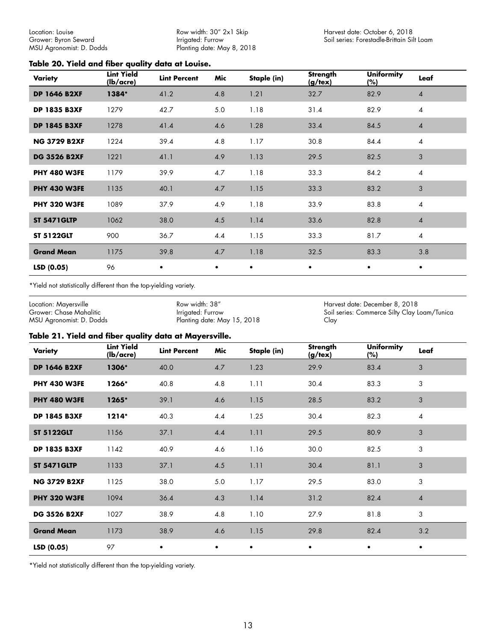Row width: 30" 2x1 Skip Irrigated: Furrow Planting date: May 8, 2018

#### <span id="page-12-0"></span>**Table 20. Yield and fiber quality data at Louise.**

| Variety             | <b>Lint Yield</b><br>(lb/acre) | <b>Lint Percent</b> | Mic       | Staple (in) | Strength<br>$(g/\text{tex})$ | <b>Uniformity</b><br>(%) | Leaf           |
|---------------------|--------------------------------|---------------------|-----------|-------------|------------------------------|--------------------------|----------------|
| <b>DP 1646 B2XF</b> | 1384*                          | 41.2                | 4.8       | 1.21        | 32.7                         | 82.9                     | $\overline{4}$ |
| <b>DP 1835 B3XF</b> | 1279                           | 42.7                | 5.0       | 1.18        | 31.4                         | 82.9                     | $\overline{4}$ |
| <b>DP 1845 B3XF</b> | 1278                           | 41.4                | 4.6       | 1.28        | 33.4                         | 84.5                     | $\overline{4}$ |
| <b>NG 3729 B2XF</b> | 1224                           | 39.4                | 4.8       | 1.17        | 30.8                         | 84.4                     | $\overline{4}$ |
| <b>DG 3526 B2XF</b> | 1221                           | 41.1                | 4.9       | 1.13        | 29.5                         | 82.5                     | 3              |
| <b>PHY 480 W3FE</b> | 1179                           | 39.9                | 4.7       | 1.18        | 33.3                         | 84.2                     | $\overline{4}$ |
| <b>PHY 430 W3FE</b> | 1135                           | 40.1                | 4.7       | 1.15        | 33.3                         | 83.2                     | 3              |
| <b>PHY 320 W3FE</b> | 1089                           | 37.9                | 4.9       | 1.18        | 33.9                         | 83.8                     | $\overline{4}$ |
| <b>ST 5471GLTP</b>  | 1062                           | 38.0                | 4.5       | 1.14        | 33.6                         | 82.8                     | $\overline{4}$ |
| <b>ST 5122GLT</b>   | 900                            | 36.7                | 4.4       | 1.15        | 33.3                         | 81.7                     | $\overline{4}$ |
| <b>Grand Mean</b>   | 1175                           | 39.8                | 4.7       | 1.18        | 32.5                         | 83.3                     | 3.8            |
| LSD(0.05)           | 96                             | $\bullet$           | $\bullet$ | $\bullet$   | $\bullet$                    | $\bullet$                | $\bullet$      |

\*Yield not statistically different than the top-yielding variety.

Location: Mayersville Grower: Chase Mahalitic MSU Agronomist: D. Dodds Row width: 38" Irrigated: Furrow Planting date: May 15, 2018 Harvest date: December 8, 2018 Soil series: Commerce Silty Clay Loam/Tunica Clay

#### **Table 21. Yield and fiber quality data at Mayersville.**

| Variety             | <b>Lint Yield</b><br>(lb/acre) | <b>Lint Percent</b> | Mic       | Staple (in) | <b>Strength</b><br>$(g/\text{tex})$ | <b>Uniformity</b><br>(%) | Leaf           |
|---------------------|--------------------------------|---------------------|-----------|-------------|-------------------------------------|--------------------------|----------------|
| <b>DP 1646 B2XF</b> | 1306*                          | 40.0                | 4.7       | 1.23        | 29.9                                | 83.4                     | 3              |
| <b>PHY 430 W3FE</b> | 1266*                          | 40.8                | 4.8       | 1.11        | 30.4                                | 83.3                     | 3              |
| <b>PHY 480 W3FE</b> | 1265*                          | 39.1                | 4.6       | 1.15        | 28.5                                | 83.2                     | 3              |
| <b>DP 1845 B3XF</b> | $1214*$                        | 40.3                | 4.4       | 1.25        | 30.4                                | 82.3                     | 4              |
| <b>ST 5122GLT</b>   | 1156                           | 37.1                | 4.4       | 1.11        | 29.5                                | 80.9                     | 3              |
| <b>DP 1835 B3XF</b> | 1142                           | 40.9                | 4.6       | 1.16        | 30.0                                | 82.5                     | 3              |
| <b>ST 5471GLTP</b>  | 1133                           | 37.1                | 4.5       | 1.11        | 30.4                                | 81.1                     | 3              |
| <b>NG 3729 B2XF</b> | 1125                           | 38.0                | 5.0       | 1.17        | 29.5                                | 83.0                     | 3              |
| <b>PHY 320 W3FE</b> | 1094                           | 36.4                | 4.3       | 1.14        | 31.2                                | 82.4                     | $\overline{4}$ |
| <b>DG 3526 B2XF</b> | 1027                           | 38.9                | 4.8       | 1.10        | 27.9                                | 81.8                     | 3              |
| <b>Grand Mean</b>   | 1173                           | 38.9                | 4.6       | 1.15        | 29.8                                | 82.4                     | 3.2            |
| LSD (0.05)          | 97                             | $\bullet$           | $\bullet$ |             | $\bullet$                           | $\bullet$                | $\bullet$      |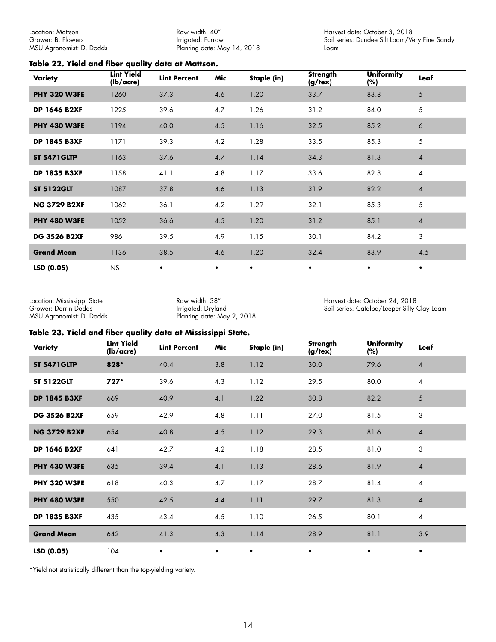<span id="page-13-0"></span>Location: Mattson Grower: B. Flowers MSU Agronomist: D. Dodds

Row width: 40" Irrigated: Furrow Planting date: May 14, 2018 Harvest date: October 3, 2018 Soil series: Dundee Silt Loam/Very Fine Sandy Loam

#### **Table 22. Yield and fiber quality data at Mattson.**

| Variety             | <b>Lint Yield</b><br>$(lb/ \text{acre})$ | <b>Lint Percent</b> | Mic       | Staple (in) | Strength<br>(g/text) | <b>Uniformity</b><br>(%) | Leaf           |
|---------------------|------------------------------------------|---------------------|-----------|-------------|----------------------|--------------------------|----------------|
| <b>PHY 320 W3FE</b> | 1260                                     | 37.3                | 4.6       | 1.20        | 33.7                 | 83.8                     | 5              |
| <b>DP 1646 B2XF</b> | 1225                                     | 39.6                | 4.7       | 1.26        | 31.2                 | 84.0                     | 5              |
| <b>PHY 430 W3FE</b> | 1194                                     | 40.0                | 4.5       | 1.16        | 32.5                 | 85.2                     | 6              |
| <b>DP 1845 B3XF</b> | 1171                                     | 39.3                | 4.2       | 1.28        | 33.5                 | 85.3                     | 5              |
| <b>ST 5471GLTP</b>  | 1163                                     | 37.6                | 4.7       | 1.14        | 34.3                 | 81.3                     | $\overline{4}$ |
| <b>DP 1835 B3XF</b> | 1158                                     | 41.1                | 4.8       | 1.17        | 33.6                 | 82.8                     | 4              |
| <b>ST 5122GLT</b>   | 1087                                     | 37.8                | 4.6       | 1.13        | 31.9                 | 82.2                     | $\overline{4}$ |
| <b>NG 3729 B2XF</b> | 1062                                     | 36.1                | 4.2       | 1.29        | 32.1                 | 85.3                     | 5              |
| <b>PHY 480 W3FE</b> | 1052                                     | 36.6                | 4.5       | 1.20        | 31.2                 | 85.1                     | $\overline{4}$ |
| <b>DG 3526 B2XF</b> | 986                                      | 39.5                | 4.9       | 1.15        | 30.1                 | 84.2                     | 3              |
| <b>Grand Mean</b>   | 1136                                     | 38.5                | 4.6       | 1.20        | 32.4                 | 83.9                     | 4.5            |
| LSD(0.05)           | <b>NS</b>                                | $\bullet$           | $\bullet$ | $\bullet$   | $\bullet$            | $\bullet$                | $\bullet$      |

Location: Mississippi State Grower: Darrin Dodds MSU Agronomist: D. Dodds

Row width: 38" Irrigated: Dryland Planting date: May 2, 2018 Harvest date: October 24, 2018 Soil series: Catalpa/Leeper Silty Clay Loam

#### **Table 23. Yield and fiber quality data at Mississippi State.**

| Variety             | <b>Lint Yield</b><br>(lb/acre) | <b>Lint Percent</b> | Mic       | Staple (in) | <b>Strength</b><br>(g/text) | <b>Uniformity</b><br>(%) | Leaf           |
|---------------------|--------------------------------|---------------------|-----------|-------------|-----------------------------|--------------------------|----------------|
| <b>ST 5471GLTP</b>  | 828*                           | 40.4                | 3.8       | 1.12        | 30.0                        | 79.6                     | $\overline{4}$ |
| <b>ST 5122GLT</b>   | 727*                           | 39.6                | 4.3       | 1.12        | 29.5                        | 80.0                     | $\overline{4}$ |
| <b>DP 1845 B3XF</b> | 669                            | 40.9                | 4.1       | 1.22        | 30.8                        | 82.2                     | 5              |
| <b>DG 3526 B2XF</b> | 659                            | 42.9                | 4.8       | 1.11        | 27.0                        | 81.5                     | 3              |
| <b>NG 3729 B2XF</b> | 654                            | 40.8                | 4.5       | 1.12        | 29.3                        | 81.6                     | $\overline{4}$ |
| <b>DP 1646 B2XF</b> | 641                            | 42.7                | 4.2       | 1.18        | 28.5                        | 81.0                     | 3              |
| <b>PHY 430 W3FE</b> | 635                            | 39.4                | 4.1       | 1.13        | 28.6                        | 81.9                     | $\overline{4}$ |
| <b>PHY 320 W3FE</b> | 618                            | 40.3                | 4.7       | 1.17        | 28.7                        | 81.4                     | $\overline{4}$ |
| <b>PHY 480 W3FE</b> | 550                            | 42.5                | 4.4       | 1.11        | 29.7                        | 81.3                     | $\overline{4}$ |
| <b>DP 1835 B3XF</b> | 435                            | 43.4                | 4.5       | 1.10        | 26.5                        | 80.1                     | $\overline{4}$ |
| <b>Grand Mean</b>   | 642                            | 41.3                | 4.3       | 1.14        | 28.9                        | 81.1                     | 3.9            |
| LSD (0.05)          | 104                            | $\bullet$           | $\bullet$ | $\bullet$   | $\bullet$                   | $\bullet$                | $\bullet$      |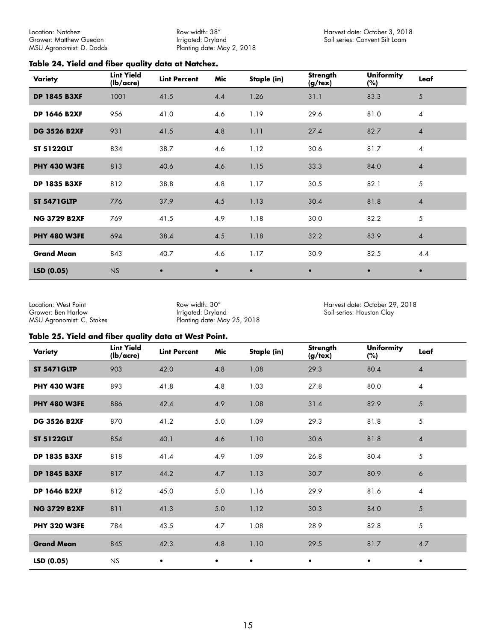<span id="page-14-0"></span>Location: Natchez Grower: Matthew Guedon MSU Agronomist: D. Dodds Row width: 38" Irrigated: Dryland Planting date: May 2, 2018

#### **Table 24. Yield and fiber quality data at Natchez.**

| Variety             | <b>Lint Yield</b><br>$(lb/ \text{acre})$ | <b>Lint Percent</b> | Mic       | Staple (in) | <b>Strength</b><br>$(g/\text{tex})$ | <b>Uniformity</b><br>(%) | Leaf           |
|---------------------|------------------------------------------|---------------------|-----------|-------------|-------------------------------------|--------------------------|----------------|
| <b>DP 1845 B3XF</b> | 1001                                     | 41.5                | 4.4       | 1.26        | 31.1                                | 83.3                     | 5              |
| <b>DP 1646 B2XF</b> | 956                                      | 41.0                | 4.6       | 1.19        | 29.6                                | 81.0                     | $\overline{4}$ |
| <b>DG 3526 B2XF</b> | 931                                      | 41.5                | 4.8       | 1.11        | 27.4                                | 82.7                     | $\overline{4}$ |
| <b>ST 5122GLT</b>   | 834                                      | 38.7                | 4.6       | 1.12        | 30.6                                | 81.7                     | $\overline{4}$ |
| <b>PHY 430 W3FE</b> | 813                                      | 40.6                | 4.6       | 1.15        | 33.3                                | 84.0                     | $\overline{4}$ |
| <b>DP 1835 B3XF</b> | 812                                      | 38.8                | 4.8       | 1.17        | 30.5                                | 82.1                     | 5              |
| <b>ST 5471GLTP</b>  | 776                                      | 37.9                | 4.5       | 1.13        | 30.4                                | 81.8                     | $\overline{4}$ |
| <b>NG 3729 B2XF</b> | 769                                      | 41.5                | 4.9       | 1.18        | 30.0                                | 82.2                     | 5              |
| <b>PHY 480 W3FE</b> | 694                                      | 38.4                | 4.5       | 1.18        | 32.2                                | 83.9                     | $\overline{4}$ |
| <b>Grand Mean</b>   | 843                                      | 40.7                | 4.6       | 1.17        | 30.9                                | 82.5                     | 4.4            |
| LSD(0.05)           | <b>NS</b>                                | $\bullet$           | $\bullet$ | $\bullet$   | $\bullet$                           | $\bullet$                | $\bullet$      |

Location: West Point Grower: Ben Harlow MSU Agronomist: C. Stokes

Row width: 30" Irrigated: Dryland Planting date: May 25, 2018 Harvest date: October 29, 2018 Soil series: Houston Clay

#### **Table 25. Yield and fiber quality data at West Point.**

| Variety             | <b>Lint Yield</b><br>$(lb/ \text{acre})$ | <b>Lint Percent</b> | Mic       | Staple (in) | <b>Strength</b><br>(g/text) | <b>Uniformity</b><br>(%) | Leaf           |
|---------------------|------------------------------------------|---------------------|-----------|-------------|-----------------------------|--------------------------|----------------|
| <b>ST 5471GLTP</b>  | 903                                      | 42.0                | 4.8       | 1.08        | 29.3                        | 80.4                     | $\overline{4}$ |
| <b>PHY 430 W3FE</b> | 893                                      | 41.8                | 4.8       | 1.03        | 27.8                        | 80.0                     | $\overline{4}$ |
| <b>PHY 480 W3FE</b> | 886                                      | 42.4                | 4.9       | 1.08        | 31.4                        | 82.9                     | 5              |
| <b>DG 3526 B2XF</b> | 870                                      | 41.2                | 5.0       | 1.09        | 29.3                        | 81.8                     | 5              |
| <b>ST 5122GLT</b>   | 854                                      | 40.1                | 4.6       | 1.10        | 30.6                        | 81.8                     | $\overline{4}$ |
| <b>DP 1835 B3XF</b> | 818                                      | 41.4                | 4.9       | 1.09        | 26.8                        | 80.4                     | 5              |
| <b>DP 1845 B3XF</b> | 817                                      | 44.2                | 4.7       | 1.13        | 30.7                        | 80.9                     | 6              |
| <b>DP 1646 B2XF</b> | 812                                      | 45.0                | $5.0$     | 1.16        | 29.9                        | 81.6                     | $\overline{4}$ |
| <b>NG 3729 B2XF</b> | 811                                      | 41.3                | $5.0$     | 1.12        | 30.3                        | 84.0                     | $\sqrt{5}$     |
| <b>PHY 320 W3FE</b> | 784                                      | 43.5                | 4.7       | 1.08        | 28.9                        | 82.8                     | 5              |
| <b>Grand Mean</b>   | 845                                      | 42.3                | 4.8       | 1.10        | 29.5                        | 81.7                     | $4.7\,$        |
| LSD(0.05)           | <b>NS</b>                                | $\bullet$           | $\bullet$ | $\bullet$   | $\bullet$                   | $\bullet$                | $\bullet$      |